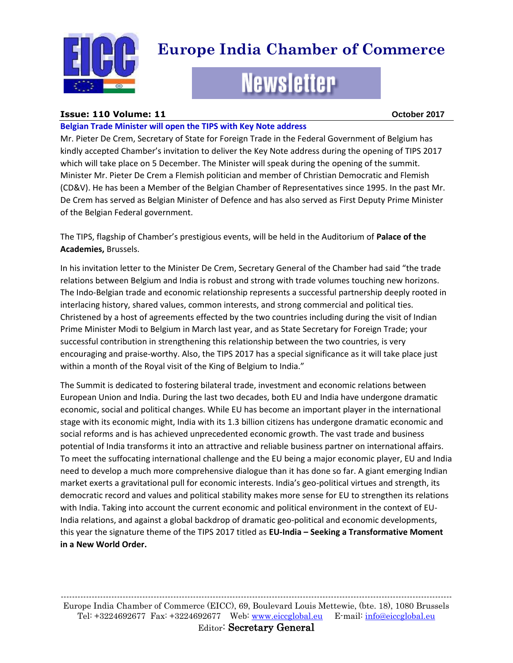

# **Europe India Chamber of Commerce**

# **Newsletter**

#### **Issue: 110 Volume: 11 October 2017**

#### **Belgian Trade Minister will open the TIPS with Key Note address**

Mr. Pieter De Crem, Secretary of State for Foreign Trade in the Federal Government of Belgium has kindly accepted Chamber's invitation to deliver the Key Note address during the opening of TIPS 2017 which will take place on 5 December. The Minister will speak during the opening of the summit. Minister Mr. Pieter De Crem a Flemish politician and member of Christian Democratic and Flemish (CD&V). He has been a Member of the Belgian Chamber of Representatives since 1995. In the past Mr. De Crem has served as Belgian Minister of Defence and has also served as First Deputy Prime Minister of the Belgian Federal government.

The TIPS, flagship of Chamber's prestigious events, will be held in the Auditorium of **Palace of the Academies,** Brussels.

In his invitation letter to the Minister De Crem, Secretary General of the Chamber had said "the trade relations between Belgium and India is robust and strong with trade volumes touching new horizons. The Indo-Belgian trade and economic relationship represents a successful partnership deeply rooted in interlacing history, shared values, common interests, and strong commercial and political ties. Christened by a host of agreements effected by the two countries including during the visit of Indian Prime Minister Modi to Belgium in March last year, and as State Secretary for Foreign Trade; your successful contribution in strengthening this relationship between the two countries, is very encouraging and praise-worthy. Also, the TIPS 2017 has a special significance as it will take place just within a month of the Royal visit of the King of Belgium to India."

The Summit is dedicated to fostering bilateral trade, investment and economic relations between European Union and India. During the last two decades, both EU and India have undergone dramatic economic, social and political changes. While EU has become an important player in the international stage with its economic might, India with its 1.3 billion citizens has undergone dramatic economic and social reforms and is has achieved unprecedented economic growth. The vast trade and business potential of India transforms it into an attractive and reliable business partner on international affairs. To meet the suffocating international challenge and the EU being a major economic player, EU and India need to develop a much more comprehensive dialogue than it has done so far. A giant emerging Indian market exerts a gravitational pull for economic interests. India's geo-political virtues and strength, its democratic record and values and political stability makes more sense for EU to strengthen its relations with India. Taking into account the current economic and political environment in the context of EU-India relations, and against a global backdrop of dramatic geo-political and economic developments, this year the signature theme of the TIPS 2017 titled as **EU-India – Seeking a Transformative Moment in a New World Order.**

------------------------------------------------------------------------------------------------------------------------------------------- Europe India Chamber of Commerce (EICC), 69, Boulevard Louis Mettewie, (bte. 18), 1080 Brussels Tel: +3224692677 Fax: +3224692677 Web: [www.eiccglobal.eu](http://www.eiccglobal.eu/) E-mail: [info@eiccglobal.eu](mailto:info@eiccglobal.eu) Editor: Secretary General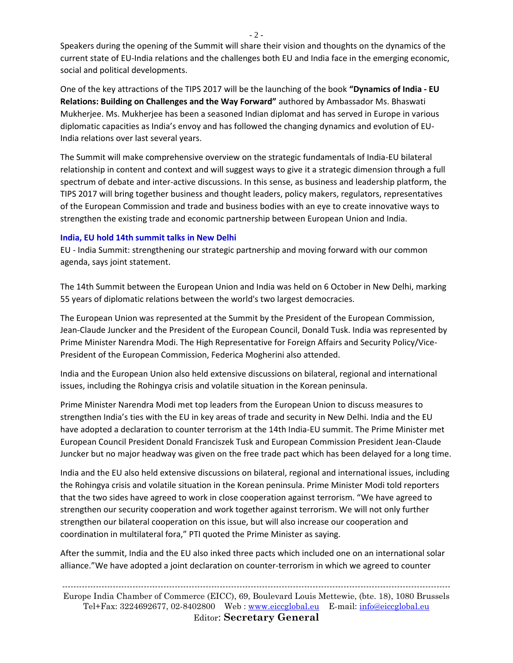Speakers during the opening of the Summit will share their vision and thoughts on the dynamics of the current state of EU-India relations and the challenges both EU and India face in the emerging economic, social and political developments.

One of the key attractions of the TIPS 2017 will be the launching of the book **"Dynamics of India - EU Relations: Building on Challenges and the Way Forward"** authored by Ambassador Ms. Bhaswati Mukherjee. Ms. Mukherjee has been a seasoned Indian diplomat and has served in Europe in various diplomatic capacities as India's envoy and has followed the changing dynamics and evolution of EU-India relations over last several years.

The Summit will make comprehensive overview on the strategic fundamentals of India-EU bilateral relationship in content and context and will suggest ways to give it a strategic dimension through a full spectrum of debate and inter-active discussions. In this sense, as business and leadership platform, the TIPS 2017 will bring together business and thought leaders, policy makers, regulators, representatives of the European Commission and trade and business bodies with an eye to create innovative ways to strengthen the existing trade and economic partnership between European Union and India.

#### **India, EU hold 14th summit talks in New Delhi**

EU - India Summit: strengthening our strategic partnership and moving forward with our common agenda, says joint statement.

The 14th Summit between the European Union and India was held on 6 October in New Delhi, marking 55 years of diplomatic relations between the world's two largest democracies.

The European Union was represented at the Summit by the President of the European Commission, Jean-Claude Juncker and the President of the European Council, Donald Tusk. India was represented by Prime Minister Narendra Modi. The High Representative for Foreign Affairs and Security Policy/Vice-President of the European Commission, Federica Mogherini also attended.

India and the European Union also held extensive discussions on bilateral, regional and international issues, including the Rohingya crisis and volatile situation in the Korean peninsula.

Prime Minister Narendra Modi met top leaders from the European Union to discuss measures to strengthen India's ties with the EU in key areas of trade and security in New Delhi. India and the EU have adopted a declaration to counter terrorism at the 14th India-EU summit. The Prime Minister met European Council President Donald Franciszek Tusk and European Commission President Jean-Claude Juncker but no major headway was given on the free trade pact which has been delayed for a long time.

India and the EU also held extensive discussions on bilateral, regional and international issues, including the Rohingya crisis and volatile situation in the Korean peninsula. Prime Minister Modi told reporters that the two sides have agreed to work in close cooperation against terrorism. "We have agreed to strengthen our security cooperation and work together against terrorism. We will not only further strengthen our bilateral cooperation on this issue, but will also increase our cooperation and coordination in multilateral fora," PTI quoted the Prime Minister as saying.

After the summit, India and the EU also inked three pacts which included one on an international solar alliance."We have adopted a joint declaration on counter-terrorism in which we agreed to counter

------------------------------------------------------------------------------------------------------------------------------------------ Europe India Chamber of Commerce (EICC), 69, Boulevard Louis Mettewie, (bte. 18), 1080 Brussels Tel+Fax: 3224692677, 02-8402800 Web : [www.eiccglobal.eu](http://www.eiccglobal.eu/) E-mail: [info@eiccglobal.eu](mailto:info@eiccglobal.eu) Editor: **Secretary General**

 $-2 -$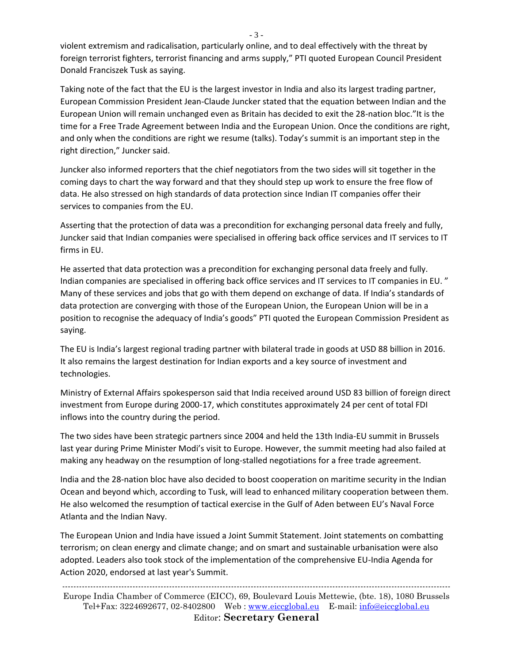violent extremism and radicalisation, particularly online, and to deal effectively with the threat by foreign terrorist fighters, terrorist financing and arms supply," PTI quoted European Council President Donald Franciszek Tusk as saying.

Taking note of the fact that the EU is the largest investor in India and also its largest trading partner, European Commission President Jean-Claude Juncker stated that the equation between Indian and the European Union will remain unchanged even as Britain has decided to exit the 28-nation bloc."It is the time for a Free Trade Agreement between India and the European Union. Once the conditions are right, and only when the conditions are right we resume (talks). Today's summit is an important step in the right direction," Juncker said.

Juncker also informed reporters that the chief negotiators from the two sides will sit together in the coming days to chart the way forward and that they should step up work to ensure the free flow of data. He also stressed on high standards of data protection since Indian IT companies offer their services to companies from the EU.

Asserting that the protection of data was a precondition for exchanging personal data freely and fully, Juncker said that Indian companies were specialised in offering back office services and IT services to IT firms in EU.

He asserted that data protection was a precondition for exchanging personal data freely and fully. Indian companies are specialised in offering back office services and IT services to IT companies in EU. " Many of these services and jobs that go with them depend on exchange of data. If India's standards of data protection are converging with those of the European Union, the European Union will be in a position to recognise the adequacy of India's goods" PTI quoted the European Commission President as saying.

The EU is India's largest regional trading partner with bilateral trade in goods at USD 88 billion in 2016. It also remains the largest destination for Indian exports and a key source of investment and technologies.

Ministry of External Affairs spokesperson said that India received around USD 83 billion of foreign direct investment from Europe during 2000-17, which constitutes approximately 24 per cent of total FDI inflows into the country during the period.

The two sides have been strategic partners since 2004 and held the 13th India-EU summit in Brussels last year during Prime Minister Modi's visit to Europe. However, the summit meeting had also failed at making any headway on the resumption of long-stalled negotiations for a free trade agreement.

India and the 28-nation bloc have also decided to boost cooperation on maritime security in the Indian Ocean and beyond which, according to Tusk, will lead to enhanced military cooperation between them. He also welcomed the resumption of tactical exercise in the Gulf of Aden between EU's Naval Force Atlanta and the Indian Navy.

The European Union and India have issued a Joint Summit Statement. Joint statements on combatting terrorism; on clean energy and climate change; and on smart and sustainable urbanisation were also adopted. Leaders also took stock of the implementation of the comprehensive EU-India Agenda for Action 2020, endorsed at last year's Summit.

------------------------------------------------------------------------------------------------------------------------------------------ Europe India Chamber of Commerce (EICC), 69, Boulevard Louis Mettewie, (bte. 18), 1080 Brussels Tel+Fax: 3224692677, 02-8402800 Web : [www.eiccglobal.eu](http://www.eiccglobal.eu/) E-mail: [info@eiccglobal.eu](mailto:info@eiccglobal.eu) Editor: **Secretary General**

- 3 -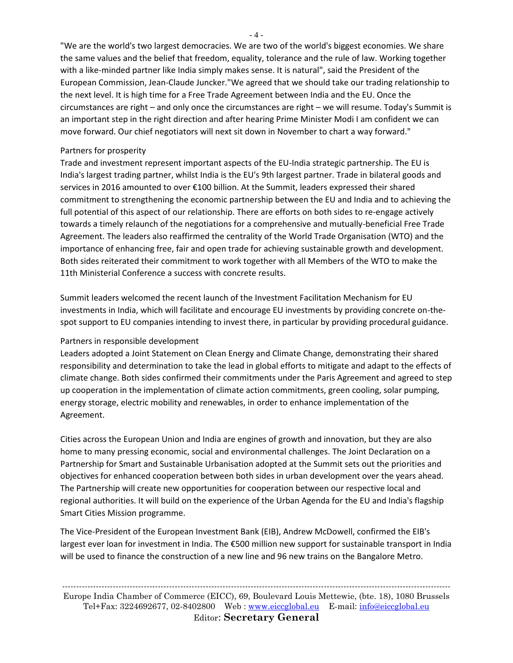"We are the world's two largest democracies. We are two of the world's biggest economies. We share the same values and the belief that freedom, equality, tolerance and the rule of law. Working together with a like-minded partner like India simply makes sense. It is natural", said the President of the European Commission, Jean-Claude Juncker."We agreed that we should take our trading relationship to the next level. It is high time for a Free Trade Agreement between India and the EU. Once the circumstances are right – and only once the circumstances are right – we will resume. Today's Summit is an important step in the right direction and after hearing Prime Minister Modi I am confident we can move forward. Our chief negotiators will next sit down in November to chart a way forward."

#### Partners for prosperity

Trade and investment represent important aspects of the EU-India strategic partnership. The EU is India's largest trading partner, whilst India is the EU's 9th largest partner. Trade in bilateral goods and services in 2016 amounted to over €100 billion. At the Summit, leaders expressed their shared commitment to strengthening the economic partnership between the EU and India and to achieving the full potential of this aspect of our relationship. There are efforts on both sides to re-engage actively towards a timely relaunch of the negotiations for a comprehensive and mutually-beneficial Free Trade Agreement. The leaders also reaffirmed the centrality of the World Trade Organisation (WTO) and the importance of enhancing free, fair and open trade for achieving sustainable growth and development. Both sides reiterated their commitment to work together with all Members of the WTO to make the 11th Ministerial Conference a success with concrete results.

Summit leaders welcomed the recent launch of the Investment Facilitation Mechanism for EU investments in India, which will facilitate and encourage EU investments by providing concrete on-thespot support to EU companies intending to invest there, in particular by providing procedural guidance.

## Partners in responsible development

Leaders adopted a Joint Statement on Clean Energy and Climate Change, demonstrating their shared responsibility and determination to take the lead in global efforts to mitigate and adapt to the effects of climate change. Both sides confirmed their commitments under the Paris Agreement and agreed to step up cooperation in the implementation of climate action commitments, green cooling, solar pumping, energy storage, electric mobility and renewables, in order to enhance implementation of the Agreement.

Cities across the European Union and India are engines of growth and innovation, but they are also home to many pressing economic, social and environmental challenges. The Joint Declaration on a Partnership for Smart and Sustainable Urbanisation adopted at the Summit sets out the priorities and objectives for enhanced cooperation between both sides in urban development over the years ahead. The Partnership will create new opportunities for cooperation between our respective local and regional authorities. It will build on the experience of the Urban Agenda for the EU and India's flagship Smart Cities Mission programme.

The Vice-President of the European Investment Bank (EIB), Andrew McDowell, confirmed the EIB's largest ever loan for investment in India. The €500 million new support for sustainable transport in India will be used to finance the construction of a new line and 96 new trains on the Bangalore Metro.

------------------------------------------------------------------------------------------------------------------------------------------ Europe India Chamber of Commerce (EICC), 69, Boulevard Louis Mettewie, (bte. 18), 1080 Brussels Tel+Fax: 3224692677, 02-8402800 Web : [www.eiccglobal.eu](http://www.eiccglobal.eu/) E-mail: [info@eiccglobal.eu](mailto:info@eiccglobal.eu) Editor: **Secretary General**

- 4 -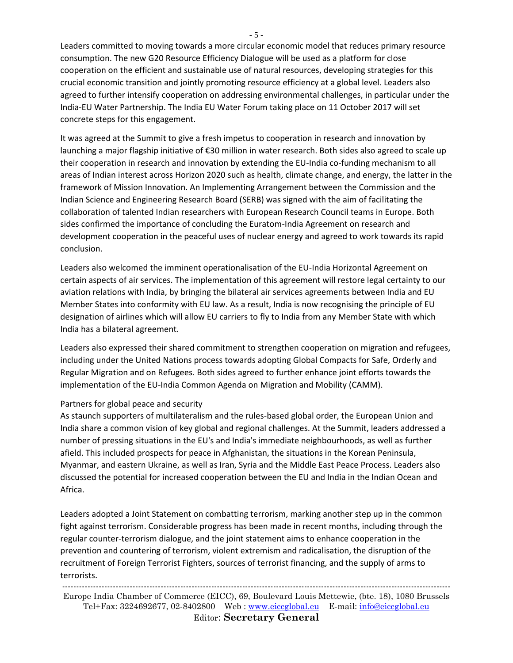Leaders committed to moving towards a more circular economic model that reduces primary resource consumption. The new G20 Resource Efficiency Dialogue will be used as a platform for close cooperation on the efficient and sustainable use of natural resources, developing strategies for this crucial economic transition and jointly promoting resource efficiency at a global level. Leaders also agreed to further intensify cooperation on addressing environmental challenges, in particular under the India-EU Water Partnership. The India EU Water Forum taking place on 11 October 2017 will set concrete steps for this engagement.

It was agreed at the Summit to give a fresh impetus to cooperation in research and innovation by launching a major flagship initiative of €30 million in water research. Both sides also agreed to scale up their cooperation in research and innovation by extending the EU-India co-funding mechanism to all areas of Indian interest across Horizon 2020 such as health, climate change, and energy, the latter in the framework of Mission Innovation. An Implementing Arrangement between the Commission and the Indian Science and Engineering Research Board (SERB) was signed with the aim of facilitating the collaboration of talented Indian researchers with European Research Council teams in Europe. Both sides confirmed the importance of concluding the Euratom-India Agreement on research and development cooperation in the peaceful uses of nuclear energy and agreed to work towards its rapid conclusion.

Leaders also welcomed the imminent operationalisation of the EU-India Horizontal Agreement on certain aspects of air services. The implementation of this agreement will restore legal certainty to our aviation relations with India, by bringing the bilateral air services agreements between India and EU Member States into conformity with EU law. As a result, India is now recognising the principle of EU designation of airlines which will allow EU carriers to fly to India from any Member State with which India has a bilateral agreement.

Leaders also expressed their shared commitment to strengthen cooperation on migration and refugees, including under the United Nations process towards adopting Global Compacts for Safe, Orderly and Regular Migration and on Refugees. Both sides agreed to further enhance joint efforts towards the implementation of the EU-India Common Agenda on Migration and Mobility (CAMM).

#### Partners for global peace and security

As staunch supporters of multilateralism and the rules-based global order, the European Union and India share a common vision of key global and regional challenges. At the Summit, leaders addressed a number of pressing situations in the EU's and India's immediate neighbourhoods, as well as further afield. This included prospects for peace in Afghanistan, the situations in the Korean Peninsula, Myanmar, and eastern Ukraine, as well as Iran, Syria and the Middle East Peace Process. Leaders also discussed the potential for increased cooperation between the EU and India in the Indian Ocean and Africa.

Leaders adopted a Joint Statement on combatting terrorism, marking another step up in the common fight against terrorism. Considerable progress has been made in recent months, including through the regular counter-terrorism dialogue, and the joint statement aims to enhance cooperation in the prevention and countering of terrorism, violent extremism and radicalisation, the disruption of the recruitment of Foreign Terrorist Fighters, sources of terrorist financing, and the supply of arms to terrorists.

------------------------------------------------------------------------------------------------------------------------------------------ Europe India Chamber of Commerce (EICC), 69, Boulevard Louis Mettewie, (bte. 18), 1080 Brussels Tel+Fax: 3224692677, 02-8402800 Web : [www.eiccglobal.eu](http://www.eiccglobal.eu/) E-mail: [info@eiccglobal.eu](mailto:info@eiccglobal.eu) Editor: **Secretary General**

- 5 -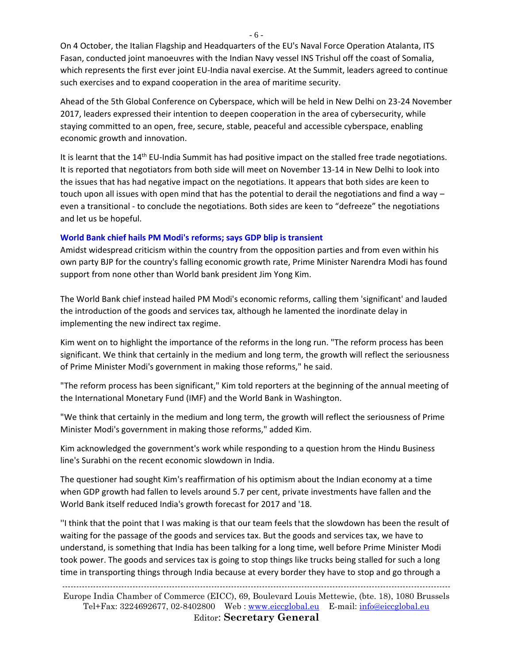On 4 October, the Italian Flagship and Headquarters of the EU's Naval Force Operation Atalanta, ITS Fasan, conducted joint manoeuvres with the Indian Navy vessel INS Trishul off the coast of Somalia, which represents the first ever joint EU-India naval exercise. At the Summit, leaders agreed to continue such exercises and to expand cooperation in the area of maritime security.

Ahead of the 5th Global Conference on Cyberspace, which will be held in New Delhi on 23-24 November 2017, leaders expressed their intention to deepen cooperation in the area of cybersecurity, while staying committed to an open, free, secure, stable, peaceful and accessible cyberspace, enabling economic growth and innovation.

It is learnt that the  $14^{th}$  EU-India Summit has had positive impact on the stalled free trade negotiations. It is reported that negotiators from both side will meet on November 13-14 in New Delhi to look into the issues that has had negative impact on the negotiations. It appears that both sides are keen to touch upon all issues with open mind that has the potential to derail the negotiations and find a way – even a transitional - to conclude the negotiations. Both sides are keen to "defreeze" the negotiations and let us be hopeful.

#### **World Bank chief hails PM Modi's reforms; says GDP blip is transient**

Amidst widespread criticism within the country from the opposition parties and from even within his own party BJP for the country's falling economic growth rate, Prime Minister Narendra Modi has found support from none other than World bank president Jim Yong Kim.

The World Bank chief instead hailed PM Modi's economic reforms, calling them 'significant' and lauded the introduction of the goods and services tax, although he lamented the inordinate delay in implementing the new indirect tax regime.

Kim went on to highlight the importance of the reforms in the long run. "The reform process has been significant. We think that certainly in the medium and long term, the growth will reflect the seriousness of Prime Minister Modi's government in making those reforms," he said.

"The reform process has been significant," Kim told reporters at the beginning of the annual meeting of the International Monetary Fund (IMF) and the World Bank in Washington.

"We think that certainly in the medium and long term, the growth will reflect the seriousness of Prime Minister Modi's government in making those reforms," added Kim.

Kim acknowledged the government's work while responding to a question hrom the Hindu Business line's Surabhi on the recent economic slowdown in India.

The questioner had sought Kim's reaffirmation of his optimism about the Indian economy at a time when GDP growth had fallen to levels around 5.7 per cent, private investments have fallen and the World Bank itself reduced India's growth forecast for 2017 and '18.

''I think that the point that I was making is that our team feels that the slowdown has been the result of waiting for the passage of the goods and services tax. But the goods and services tax, we have to understand, is something that India has been talking for a long time, well before Prime Minister Modi took power. The goods and services tax is going to stop things like trucks being stalled for such a long time in transporting things through India because at every border they have to stop and go through a

------------------------------------------------------------------------------------------------------------------------------------------ Europe India Chamber of Commerce (EICC), 69, Boulevard Louis Mettewie, (bte. 18), 1080 Brussels Tel+Fax: 3224692677, 02-8402800 Web : [www.eiccglobal.eu](http://www.eiccglobal.eu/) E-mail: [info@eiccglobal.eu](mailto:info@eiccglobal.eu) Editor: **Secretary General**

- 6 -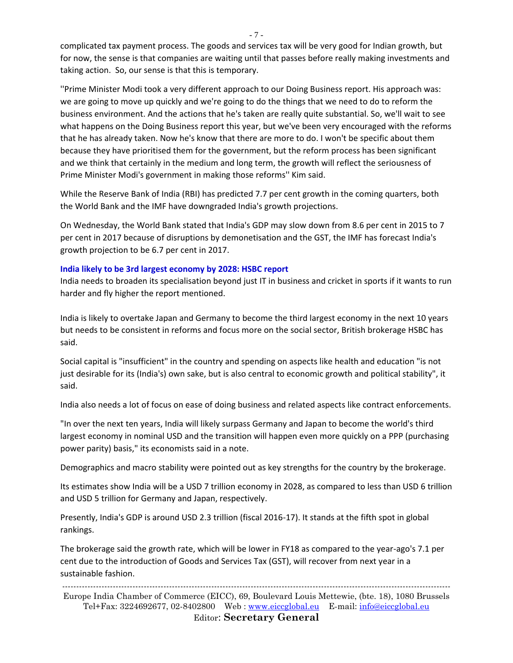complicated tax payment process. The goods and services tax will be very good for Indian growth, but for now, the sense is that companies are waiting until that passes before really making investments and taking action. So, our sense is that this is temporary.

''Prime Minister Modi took a very different approach to our Doing Business report. His approach was: we are going to move up quickly and we're going to do the things that we need to do to reform the business environment. And the actions that he's taken are really quite substantial. So, we'll wait to see what happens on the Doing Business report this year, but we've been very encouraged with the reforms that he has already taken. Now he's know that there are more to do. I won't be specific about them because they have prioritised them for the government, but the reform process has been significant and we think that certainly in the medium and long term, the growth will reflect the seriousness of Prime Minister Modi's government in making those reforms'' Kim said.

While the Reserve Bank of India (RBI) has predicted 7.7 per cent growth in the coming quarters, both the World Bank and the IMF have downgraded India's growth projections.

On Wednesday, the World Bank stated that India's GDP may slow down from 8.6 per cent in 2015 to 7 per cent in 2017 because of disruptions by demonetisation and the GST, the IMF has forecast India's growth projection to be 6.7 per cent in 2017.

#### **India likely to be 3rd largest economy by 2028: HSBC report**

India needs to broaden its specialisation beyond just IT in business and cricket in sports if it wants to run harder and fly higher the report mentioned.

India is likely to overtake Japan and Germany to become the third largest economy in the next 10 years but needs to be consistent in reforms and focus more on the social sector, British brokerage HSBC has said.

Social capital is "insufficient" in the country and spending on aspects like health and education "is not just desirable for its (India's) own sake, but is also central to economic growth and political stability", it said.

India also needs a lot of focus on ease of doing business and related aspects like contract enforcements.

"In over the next ten years, India will likely surpass Germany and Japan to become the world's third largest economy in nominal USD and the transition will happen even more quickly on a PPP (purchasing power parity) basis," its economists said in a note.

Demographics and macro stability were pointed out as key strengths for the country by the brokerage.

Its estimates show India will be a USD 7 trillion economy in 2028, as compared to less than USD 6 trillion and USD 5 trillion for Germany and Japan, respectively.

Presently, India's GDP is around USD 2.3 trillion (fiscal 2016-17). It stands at the fifth spot in global rankings.

The brokerage said the growth rate, which will be lower in FY18 as compared to the year-ago's 7.1 per cent due to the introduction of Goods and Services Tax (GST), will recover from next year in a sustainable fashion.

------------------------------------------------------------------------------------------------------------------------------------------ Europe India Chamber of Commerce (EICC), 69, Boulevard Louis Mettewie, (bte. 18), 1080 Brussels Tel+Fax: 3224692677, 02-8402800 Web : [www.eiccglobal.eu](http://www.eiccglobal.eu/) E-mail: [info@eiccglobal.eu](mailto:info@eiccglobal.eu) Editor: **Secretary General**

- 7 -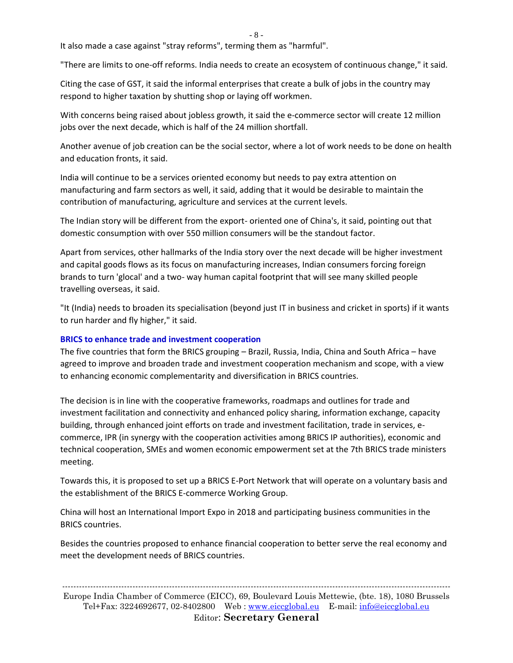- 8 -

It also made a case against "stray reforms", terming them as "harmful".

"There are limits to one-off reforms. India needs to create an ecosystem of continuous change," it said.

Citing the case of GST, it said the informal enterprises that create a bulk of jobs in the country may respond to higher taxation by shutting shop or laying off workmen.

With concerns being raised about jobless growth, it said the e-commerce sector will create 12 million jobs over the next decade, which is half of the 24 million shortfall.

Another avenue of job creation can be the social sector, where a lot of work needs to be done on health and education fronts, it said.

India will continue to be a services oriented economy but needs to pay extra attention on manufacturing and farm sectors as well, it said, adding that it would be desirable to maintain the contribution of manufacturing, agriculture and services at the current levels.

The Indian story will be different from the export- oriented one of China's, it said, pointing out that domestic consumption with over 550 million consumers will be the standout factor.

Apart from services, other hallmarks of the India story over the next decade will be higher investment and capital goods flows as its focus on manufacturing increases, Indian consumers forcing foreign brands to turn 'glocal' and a two- way human capital footprint that will see many skilled people travelling overseas, it said.

"It (India) needs to broaden its specialisation (beyond just IT in business and cricket in sports) if it wants to run harder and fly higher," it said.

#### **BRICS to enhance trade and investment cooperation**

The five countries that form the BRICS grouping – Brazil, Russia, India, China and South Africa – have agreed to improve and broaden trade and investment cooperation mechanism and scope, with a view to enhancing economic complementarity and diversification in BRICS countries.

The decision is in line with the cooperative frameworks, roadmaps and outlines for trade and investment facilitation and connectivity and enhanced policy sharing, information exchange, capacity building, through enhanced joint efforts on trade and investment facilitation, trade in services, ecommerce, IPR (in synergy with the cooperation activities among BRICS IP authorities), economic and technical cooperation, SMEs and women economic empowerment set at the 7th BRICS trade ministers meeting.

Towards this, it is proposed to set up a BRICS E-Port Network that will operate on a voluntary basis and the establishment of the BRICS E-commerce Working Group.

China will host an International Import Expo in 2018 and participating business communities in the BRICS countries.

Besides the countries proposed to enhance financial cooperation to better serve the real economy and meet the development needs of BRICS countries.

------------------------------------------------------------------------------------------------------------------------------------------ Europe India Chamber of Commerce (EICC), 69, Boulevard Louis Mettewie, (bte. 18), 1080 Brussels Tel+Fax: 3224692677, 02-8402800 Web : [www.eiccglobal.eu](http://www.eiccglobal.eu/) E-mail: [info@eiccglobal.eu](mailto:info@eiccglobal.eu) Editor: **Secretary General**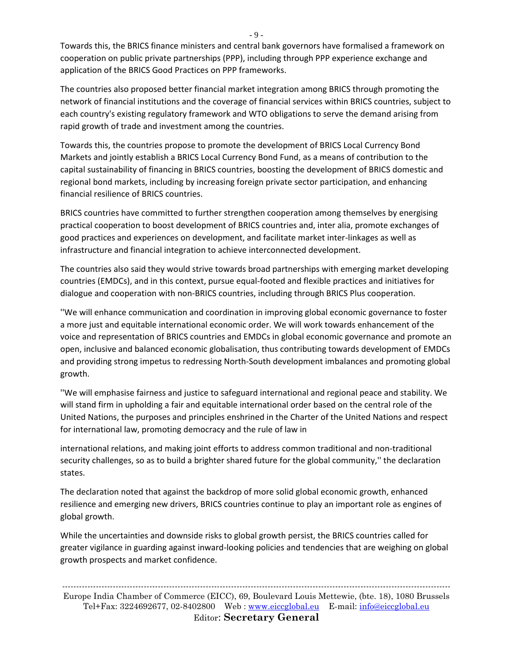Towards this, the BRICS finance ministers and central bank governors have formalised a framework on cooperation on public private partnerships (PPP), including through PPP experience exchange and application of the BRICS Good Practices on PPP frameworks.

The countries also proposed better financial market integration among BRICS through promoting the network of financial institutions and the coverage of financial services within BRICS countries, subject to each country's existing regulatory framework and WTO obligations to serve the demand arising from rapid growth of trade and investment among the countries.

Towards this, the countries propose to promote the development of BRICS Local Currency Bond Markets and jointly establish a BRICS Local Currency Bond Fund, as a means of contribution to the capital sustainability of financing in BRICS countries, boosting the development of BRICS domestic and regional bond markets, including by increasing foreign private sector participation, and enhancing financial resilience of BRICS countries.

BRICS countries have committed to further strengthen cooperation among themselves by energising practical cooperation to boost development of BRICS countries and, inter alia, promote exchanges of good practices and experiences on development, and facilitate market inter-linkages as well as infrastructure and financial integration to achieve interconnected development.

The countries also said they would strive towards broad partnerships with emerging market developing countries (EMDCs), and in this context, pursue equal-footed and flexible practices and initiatives for dialogue and cooperation with non-BRICS countries, including through BRICS Plus cooperation.

''We will enhance communication and coordination in improving global economic governance to foster a more just and equitable international economic order. We will work towards enhancement of the voice and representation of BRICS countries and EMDCs in global economic governance and promote an open, inclusive and balanced economic globalisation, thus contributing towards development of EMDCs and providing strong impetus to redressing North-South development imbalances and promoting global growth.

''We will emphasise fairness and justice to safeguard international and regional peace and stability. We will stand firm in upholding a fair and equitable international order based on the central role of the United Nations, the purposes and principles enshrined in the Charter of the United Nations and respect for international law, promoting democracy and the rule of law in

international relations, and making joint efforts to address common traditional and non-traditional security challenges, so as to build a brighter shared future for the global community,'' the declaration states.

The declaration noted that against the backdrop of more solid global economic growth, enhanced resilience and emerging new drivers, BRICS countries continue to play an important role as engines of global growth.

While the uncertainties and downside risks to global growth persist, the BRICS countries called for greater vigilance in guarding against inward-looking policies and tendencies that are weighing on global growth prospects and market confidence.

- 9 -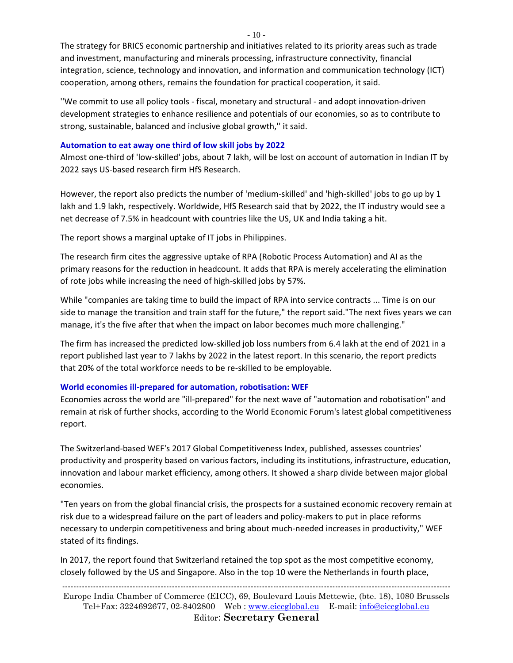The strategy for BRICS economic partnership and initiatives related to its priority areas such as trade and investment, manufacturing and minerals processing, infrastructure connectivity, financial integration, science, technology and innovation, and information and communication technology (ICT) cooperation, among others, remains the foundation for practical cooperation, it said.

''We commit to use all policy tools - fiscal, monetary and structural - and adopt innovation-driven development strategies to enhance resilience and potentials of our economies, so as to contribute to strong, sustainable, balanced and inclusive global growth,'' it said.

#### **Automation to eat away one third of low skill jobs by 2022**

Almost one-third of 'low-skilled' jobs, about 7 lakh, will be lost on account of automation in Indian IT by 2022 says US-based research firm HfS Research.

However, the report also predicts the number of 'medium-skilled' and 'high-skilled' jobs to go up by 1 lakh and 1.9 lakh, respectively. Worldwide, HfS Research said that by 2022, the IT industry would see a net decrease of 7.5% in headcount with countries like the US, UK and India taking a hit.

The report shows a marginal uptake of IT jobs in Philippines.

The research firm cites the aggressive uptake of RPA (Robotic Process Automation) and AI as the primary reasons for the reduction in headcount. It adds that RPA is merely accelerating the elimination of rote jobs while increasing the need of high-skilled jobs by 57%.

While "companies are taking time to build the impact of RPA into service contracts ... Time is on our side to manage the transition and train staff for the future," the report said."The next fives years we can manage, it's the five after that when the impact on labor becomes much more challenging."

The firm has increased the predicted low-skilled job loss numbers from 6.4 lakh at the end of 2021 in a report published last year to 7 lakhs by 2022 in the latest report. In this scenario, the report predicts that 20% of the total workforce needs to be re-skilled to be employable.

## **World economies ill-prepared for automation, robotisation: WEF**

Economies across the world are "ill-prepared" for the next wave of "automation and robotisation" and remain at risk of further shocks, according to the World Economic Forum's latest global competitiveness report.

The Switzerland-based WEF's 2017 Global Competitiveness Index, published, assesses countries' productivity and prosperity based on various factors, including its institutions, infrastructure, education, innovation and labour market efficiency, among others. It showed a sharp divide between major global economies.

"Ten years on from the global financial crisis, the prospects for a sustained economic recovery remain at risk due to a widespread failure on the part of leaders and policy-makers to put in place reforms necessary to underpin competitiveness and bring about much-needed increases in productivity," WEF stated of its findings.

In 2017, the report found that Switzerland retained the top spot as the most competitive economy, closely followed by the US and Singapore. Also in the top 10 were the Netherlands in fourth place,

------------------------------------------------------------------------------------------------------------------------------------------ Europe India Chamber of Commerce (EICC), 69, Boulevard Louis Mettewie, (bte. 18), 1080 Brussels Tel+Fax: 3224692677, 02-8402800 Web : [www.eiccglobal.eu](http://www.eiccglobal.eu/) E-mail: [info@eiccglobal.eu](mailto:info@eiccglobal.eu) Editor: **Secretary General**

 $-10-$